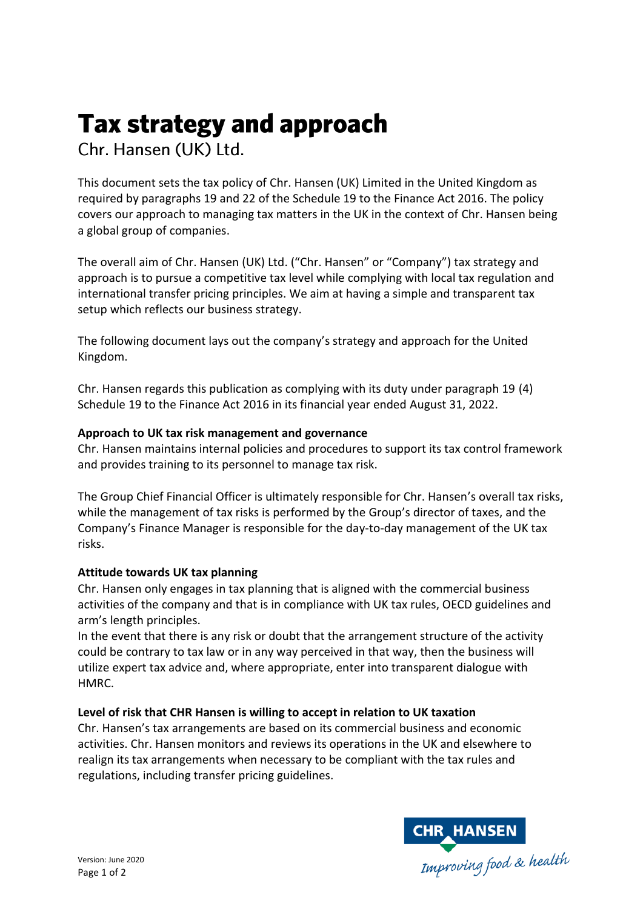# **Tax strategy and approach**

Chr. Hansen (UK) Ltd.

This document sets the tax policy of Chr. Hansen (UK) Limited in the United Kingdom as required by paragraphs 19 and 22 of the Schedule 19 to the Finance Act 2016. The policy covers our approach to managing tax matters in the UK in the context of Chr. Hansen being a global group of companies.

The overall aim of Chr. Hansen (UK) Ltd. ("Chr. Hansen" or "Company") tax strategy and approach is to pursue a competitive tax level while complying with local tax regulation and international transfer pricing principles. We aim at having a simple and transparent tax setup which reflects our business strategy.

The following document lays out the company's strategy and approach for the United Kingdom.

Chr. Hansen regards this publication as complying with its duty under paragraph 19 (4) Schedule 19 to the Finance Act 2016 in its financial year ended August 31, 2022.

# **Approach to UK tax risk management and governance**

Chr. Hansen maintains internal policies and procedures to support its tax control framework and provides training to its personnel to manage tax risk.

The Group Chief Financial Officer is ultimately responsible for Chr. Hansen's overall tax risks, while the management of tax risks is performed by the Group's director of taxes, and the Company's Finance Manager is responsible for the day-to-day management of the UK tax risks.

### **Attitude towards UK tax planning**

Chr. Hansen only engages in tax planning that is aligned with the commercial business activities of the company and that is in compliance with UK tax rules, OECD guidelines and arm's length principles.

In the event that there is any risk or doubt that the arrangement structure of the activity could be contrary to tax law or in any way perceived in that way, then the business will utilize expert tax advice and, where appropriate, enter into transparent dialogue with **HMRC** 

### **Level of risk that CHR Hansen is willing to accept in relation to UK taxation**

Chr. Hansen's tax arrangements are based on its commercial business and economic activities. Chr. Hansen monitors and reviews its operations in the UK and elsewhere to realign its tax arrangements when necessary to be compliant with the tax rules and regulations, including transfer pricing guidelines.